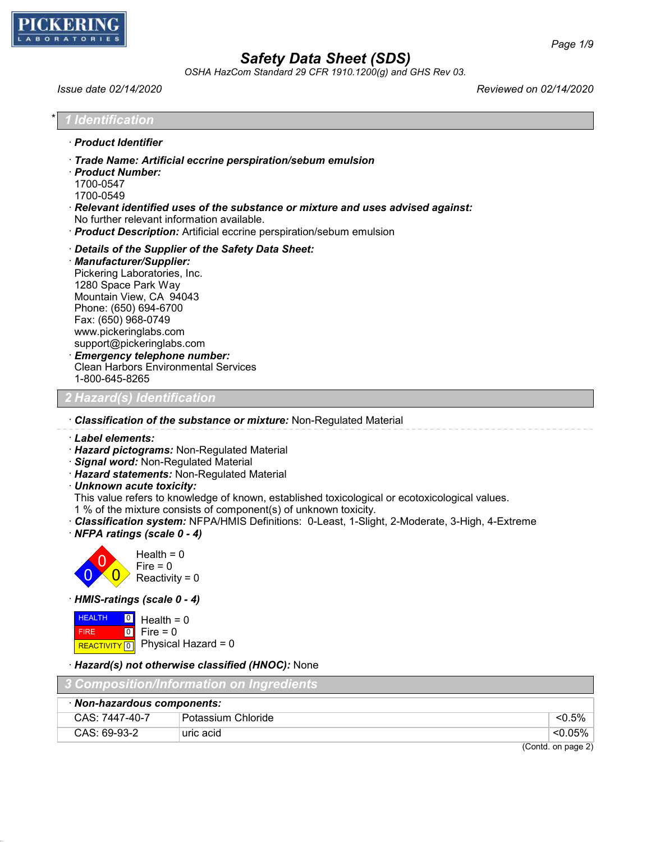

*OSHA HazCom Standard 29 CFR 1910.1200(g) and GHS Rev 03.*

*Issue date 02/14/2020 Reviewed on 02/14/2020*

| Trade Name: Artificial eccrine perspiration/sebum emulsion<br>$\cdot$ Relevant identified uses of the substance or mixture and uses advised against:<br>No further relevant information available.<br>· Product Description: Artificial eccrine perspiration/sebum emulsion<br>Details of the Supplier of the Safety Data Sheet: | · Product Identifier         |  |
|----------------------------------------------------------------------------------------------------------------------------------------------------------------------------------------------------------------------------------------------------------------------------------------------------------------------------------|------------------------------|--|
|                                                                                                                                                                                                                                                                                                                                  |                              |  |
|                                                                                                                                                                                                                                                                                                                                  | · Product Number:            |  |
|                                                                                                                                                                                                                                                                                                                                  | 1700-0547                    |  |
|                                                                                                                                                                                                                                                                                                                                  | 1700-0549                    |  |
|                                                                                                                                                                                                                                                                                                                                  |                              |  |
|                                                                                                                                                                                                                                                                                                                                  |                              |  |
|                                                                                                                                                                                                                                                                                                                                  |                              |  |
|                                                                                                                                                                                                                                                                                                                                  |                              |  |
|                                                                                                                                                                                                                                                                                                                                  | · Manufacturer/Supplier:     |  |
|                                                                                                                                                                                                                                                                                                                                  | Pickering Laboratories, Inc. |  |

1280 Space Park Way Mountain View, CA 94043 Phone: (650) 694-6700 Fax: (650) 968-0749 www.pickeringlabs.com support@pickeringlabs.com

· *Emergency telephone number:* Clean Harbors Environmental Services 1-800-645-8265

*den* 

· *Classification of the substance or mixture:* Non-Regulated Material

- · *Label elements:*
- · *Hazard pictograms:* Non-Regulated Material
- · *Signal word:* Non-Regulated Material
- · *Hazard statements:* Non-Regulated Material
- · *Unknown acute toxicity:*

This value refers to knowledge of known, established toxicological or ecotoxicological values.

1 % of the mixture consists of component(s) of unknown toxicity.

· *Classification system:* NFPA/HMIS Definitions: 0-Least, 1-Slight, 2-Moderate, 3-High, 4-Extreme

· *NFPA ratings (scale 0 - 4)*



· *HMIS-ratings (scale 0 - 4)*

 HEALTH FIRE REACTIVITY  $\boxed{0}$  Physical Hazard = 0  $\boxed{0}$  $\overline{10}$  $Health = 0$  $Fire = 0$ 

· *Hazard(s) not otherwise classified (HNOC):* None

| 3 Composition/Information on Ingredients |                      |                    |
|------------------------------------------|----------------------|--------------------|
| · Non-hazardous components:              |                      |                    |
| CAS: 7447-40-7                           | ! Potassium Chloride | $< 0.5\%$          |
| $CAS: 69-93-2$                           | uric acid            | <0.05%             |
|                                          |                      | (Contd. on page 2) |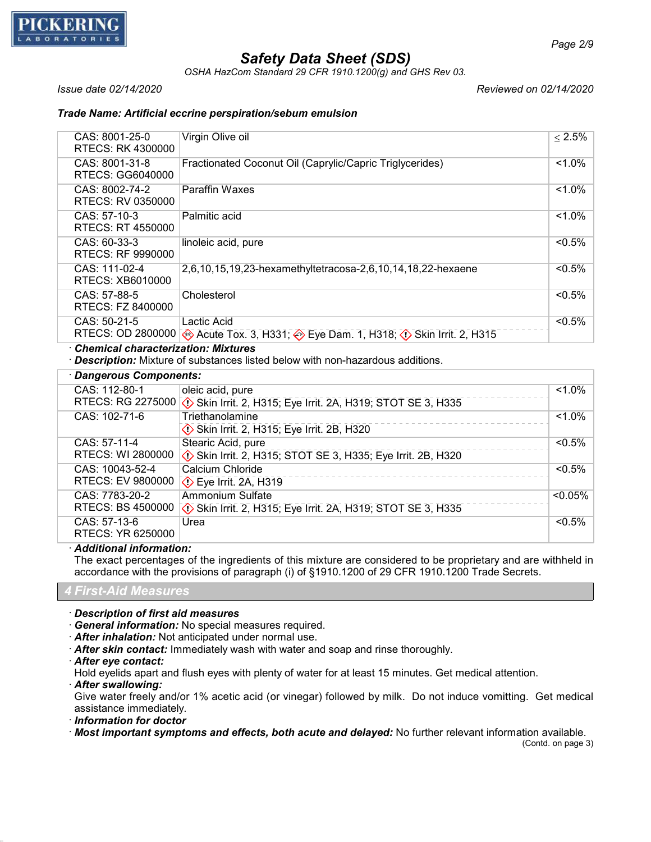

*OSHA HazCom Standard 29 CFR 1910.1200(g) and GHS Rev 03.*

*Issue date 02/14/2020 Reviewed on 02/14/2020*

## *Trade Name: Artificial eccrine perspiration/sebum emulsion*

| CAS: 8001-25-0<br>RTECS: RK 4300000 | Virgin Olive oil                                                             | $\leq 2.5\%$ |
|-------------------------------------|------------------------------------------------------------------------------|--------------|
| CAS: 8001-31-8<br>RTECS: GG6040000  | Fractionated Coconut Oil (Caprylic/Capric Triglycerides)                     | $1.0\%$      |
| CAS: 8002-74-2<br>RTECS: RV 0350000 | <b>Paraffin Waxes</b>                                                        | $1.0\%$      |
| $CAS: 57-10-3$<br>RTECS: RT 4550000 | Palmitic acid                                                                | $1.0\%$      |
| $CAS: 60-33-3$<br>RTECS: RF 9990000 | linoleic acid, pure                                                          | $< 0.5\%$    |
| CAS: 111-02-4<br>RTECS: XB6010000   | 2,6,10,15,19,23-hexamethyltetracosa-2,6,10,14,18,22-hexaene                  | $< 0.5\%$    |
| CAS: 57-88-5<br>RTECS: FZ 8400000   | Cholesterol                                                                  | $< 0.5\%$    |
| $CAS: 50-21-5$<br>RTECS: OD 2800000 | Lactic Acid<br>Acute Tox. 3, H331; 2 Eye Dam. 1, H318; 2 Skin Irrit. 2, H315 | $< 0.5\%$    |

· *Chemical characterization: Mixtures*

· *Description:* Mixture of substances listed below with non-hazardous additions.

| · Dangerous Components:  |                                                                                 |            |
|--------------------------|---------------------------------------------------------------------------------|------------|
| CAS: 112-80-1            | oleic acid, pure                                                                | $1.0\%$    |
|                          | RTECS: RG 2275000 (1) Skin Irrit. 2, H315; Eye Irrit. 2A, H319; STOT SE 3, H335 |            |
| CAS: 102-71-6            | Triethanolamine                                                                 | $1.0\%$    |
|                          | Skin Irrit. 2, H315; Eye Irrit. 2B, H320                                        |            |
| CAS: 57-11-4             | Stearic Acid, pure                                                              | $< 0.5\%$  |
| RTECS: WI 2800000        | Skin Irrit. 2, H315; STOT SE 3, H335; Eye Irrit. 2B, H320                       |            |
| CAS: 10043-52-4          | Calcium Chloride                                                                | $< 0.5\%$  |
| <b>RTECS: EV 9800000</b> | $\diamondsuit$ Eye Irrit. 2A, H319                                              |            |
| CAS: 7783-20-2           | Ammonium Sulfate                                                                | $< 0.05\%$ |
| <b>RTECS: BS 4500000</b> | Skin Irrit. 2, H315; Eye Irrit. 2A, H319; STOT SE 3, H335                       |            |
| CAS: 57-13-6             | Urea                                                                            | $< 0.5\%$  |
| RTECS: YR 6250000        |                                                                                 |            |

· *Additional information:*

The exact percentages of the ingredients of this mixture are considered to be proprietary and are withheld in accordance with the provisions of paragraph (i) of §1910.1200 of 29 CFR 1910.1200 Trade Secrets.

*4 First-Aid Measures*

· *Description of first aid measures*

· *General information:* No special measures required.

- · *After inhalation:* Not anticipated under normal use.
- · *After skin contact:* Immediately wash with water and soap and rinse thoroughly.
- · *After eye contact:*

Hold eyelids apart and flush eyes with plenty of water for at least 15 minutes. Get medical attention.

· *After swallowing:*

Give water freely and/or 1% acetic acid (or vinegar) followed by milk. Do not induce vomitting. Get medical assistance immediately.

· *Information for doctor*

· *Most important symptoms and effects, both acute and delayed:* No further relevant information available.

(Contd. on page 3)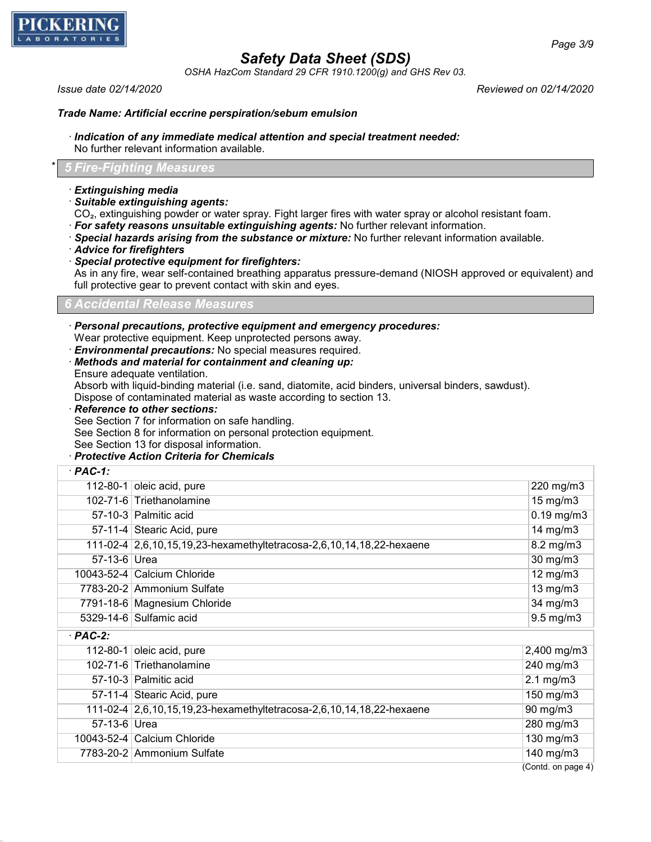

*OSHA HazCom Standard 29 CFR 1910.1200(g) and GHS Rev 03.*

*Issue date 02/14/2020 Reviewed on 02/14/2020*

### *Trade Name: Artificial eccrine perspiration/sebum emulsion*

## · *Indication of any immediate medical attention and special treatment needed:*

No further relevant information available.

## \* *5 Fire-Fighting Measures*

### · *Extinguishing media*

· *Suitable extinguishing agents:*

CO₂, extinguishing powder or water spray. Fight larger fires with water spray or alcohol resistant foam.

- · *For safety reasons unsuitable extinguishing agents:* No further relevant information.
- · *Special hazards arising from the substance or mixture:* No further relevant information available.
- · *Advice for firefighters*
- · *Special protective equipment for firefighters:*

As in any fire, wear self-contained breathing apparatus pressure-demand (NIOSH approved or equivalent) and full protective gear to prevent contact with skin and eyes.

### *6 Accidental Release Measures*

· *Personal precautions, protective equipment and emergency procedures:*

Wear protective equipment. Keep unprotected persons away.

· *Environmental precautions:* No special measures required.

- · *Methods and material for containment and cleaning up:*
- Ensure adequate ventilation.

· *PAC-1:*

Absorb with liquid-binding material (i.e. sand, diatomite, acid binders, universal binders, sawdust). Dispose of contaminated material as waste according to section 13.

· *Reference to other sections:*

See Section 7 for information on safe handling.

See Section 8 for information on personal protection equipment.

See Section 13 for disposal information.

· *Protective Action Criteria for Chemicals*

| PAC-I.       |                                                                      |                    |
|--------------|----------------------------------------------------------------------|--------------------|
|              | 112-80-1 oleic acid, pure                                            | 220 mg/m3          |
|              | 102-71-6 Triethanolamine                                             | $15 \text{ mg/m}$  |
|              | 57-10-3 Palmitic acid                                                | $0.19$ mg/m $3$    |
|              | 57-11-4 Stearic Acid, pure                                           | 14 mg/m $3$        |
|              | 111-02-4 2,6,10,15,19,23-hexamethyltetracosa-2,6,10,14,18,22-hexaene | 8.2 mg/m3          |
| 57-13-6 Urea |                                                                      | 30 mg/m3           |
|              | 10043-52-4 Calcium Chloride                                          | $12$ mg/m $3$      |
|              | 7783-20-2 Ammonium Sulfate                                           | $13$ mg/m $3$      |
|              | 7791-18-6 Magnesium Chloride                                         | 34 mg/m3           |
|              | 5329-14-6 Sulfamic acid                                              | $9.5$ mg/m $3$     |
| $·$ PAC-2:   |                                                                      |                    |
|              | 112-80-1 oleic acid, pure                                            | 2,400 mg/m3        |
|              | 102-71-6 Triethanolamine                                             | 240 mg/m3          |
|              | 57-10-3 Palmitic acid                                                | $2.1 \text{ mg/m}$ |
|              | 57-11-4 Stearic Acid, pure                                           | 150 mg/m3          |
|              | 111-02-4 2,6,10,15,19,23-hexamethyltetracosa-2,6,10,14,18,22-hexaene | 90 mg/m3           |
| 57-13-6 Urea |                                                                      | $280$ mg/m $3$     |

10043-52-4 Calcium Chloride 130 mg/m3 7783-20-2 Ammonium Sulfate 140 mg/m3

(Contd. on page 4)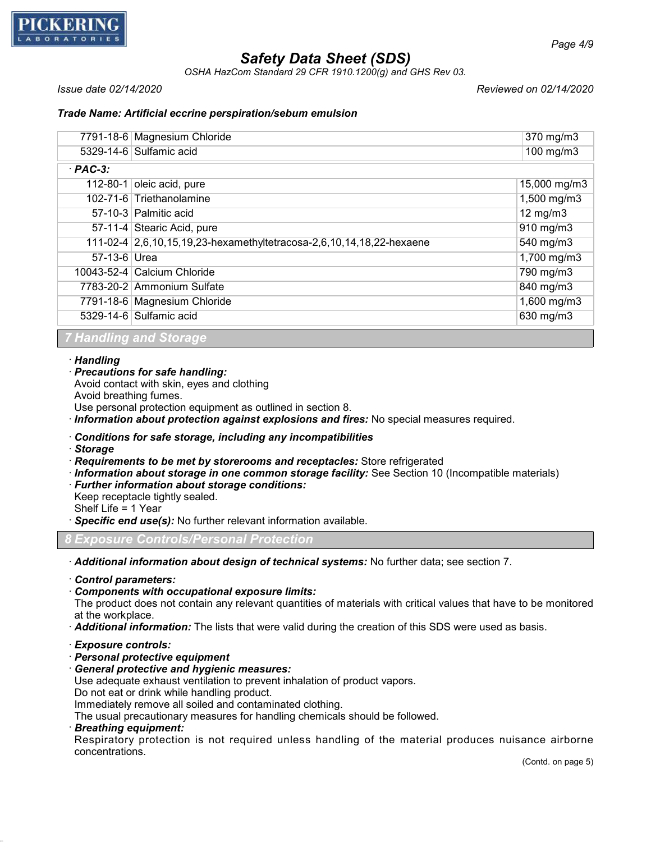

*OSHA HazCom Standard 29 CFR 1910.1200(g) and GHS Rev 03.*

*Issue date 02/14/2020 Reviewed on 02/14/2020*

## *Trade Name: Artificial eccrine perspiration/sebum emulsion*

|              | 7791-18-6 Magnesium Chloride                                         | 370 mg/m3           |
|--------------|----------------------------------------------------------------------|---------------------|
|              | 5329-14-6 Sulfamic acid                                              | 100 mg/m3           |
| $·$ PAC-3:   |                                                                      |                     |
|              | 112-80-1 oleic acid, pure                                            | 15,000 mg/m3        |
|              | 102-71-6 Triethanolamine                                             | 1,500 mg/m3         |
|              | 57-10-3 Palmitic acid                                                | $12 \text{ mg/m}$ 3 |
|              | 57-11-4 Stearic Acid, pure                                           | 910 mg/m3           |
|              | 111-02-4 2,6,10,15,19,23-hexamethyltetracosa-2,6,10,14,18,22-hexaene | 540 mg/m3           |
| 57-13-6 Urea |                                                                      | 1,700 mg/m3         |
|              | 10043-52-4 Calcium Chloride                                          | 790 mg/m3           |
|              | 7783-20-2 Ammonium Sulfate                                           | $840$ mg/m3         |
|              | 7791-18-6 Magnesium Chloride                                         | 1,600 mg/m3         |
|              | 5329-14-6 Sulfamic acid                                              | 630 mg/m3           |
|              |                                                                      |                     |

### *7 Handling and Storage*

### · *Handling*

· *Precautions for safe handling:*

Avoid contact with skin, eyes and clothing

Avoid breathing fumes.

Use personal protection equipment as outlined in section 8.

· *Information about protection against explosions and fires:* No special measures required.

## · *Conditions for safe storage, including any incompatibilities*

- · *Storage*
- · *Requirements to be met by storerooms and receptacles:* Store refrigerated
- · *Information about storage in one common storage facility:* See Section 10 (Incompatible materials)
- · *Further information about storage conditions:*
- Keep receptacle tightly sealed.

Shelf Life = 1 Year

· *Specific end use(s):* No further relevant information available.

*8 Exposure Controls/Personal Protection*

· *Additional information about design of technical systems:* No further data; see section 7.

- · *Control parameters:*
- · *Components with occupational exposure limits:*

The product does not contain any relevant quantities of materials with critical values that have to be monitored at the workplace.

· *Additional information:* The lists that were valid during the creation of this SDS were used as basis.

## · *Exposure controls:*

- · *Personal protective equipment*
- · *General protective and hygienic measures:*

Use adequate exhaust ventilation to prevent inhalation of product vapors.

Do not eat or drink while handling product.

Immediately remove all soiled and contaminated clothing.

The usual precautionary measures for handling chemicals should be followed.

· *Breathing equipment:*

Respiratory protection is not required unless handling of the material produces nuisance airborne concentrations.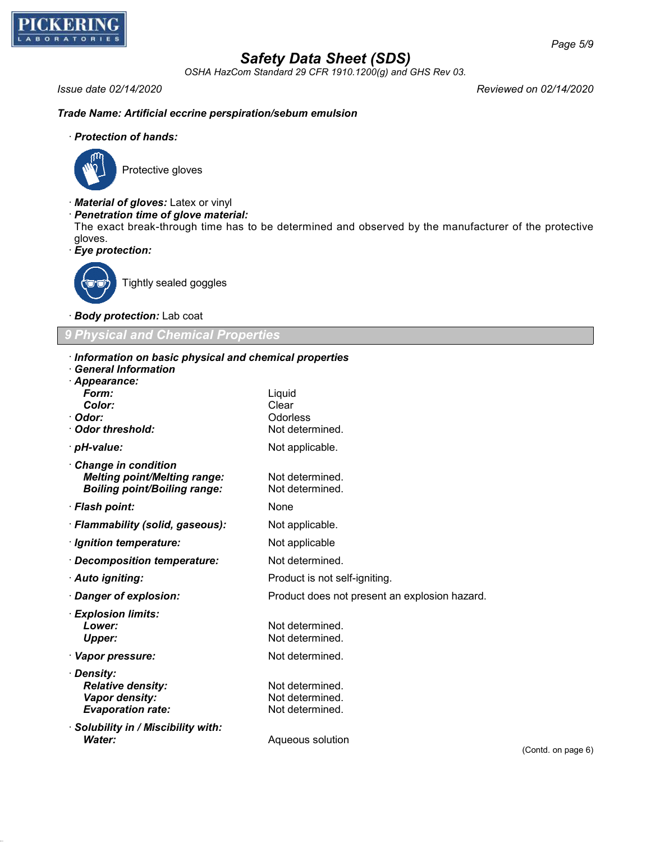

*OSHA HazCom Standard 29 CFR 1910.1200(g) and GHS Rev 03.*

*Issue date 02/14/2020 Reviewed on 02/14/2020*

## *Trade Name: Artificial eccrine perspiration/sebum emulsion*

## · *Protection of hands:*



Protective gloves

- · *Material of gloves:* Latex or vinyl
- · *Penetration time of glove material:*
- The exact break-through time has to be determined and observed by the manufacturer of the protective gloves.
- · *Eye protection:*



Tightly sealed goggles

· *Body protection:* Lab coat

## *9 Physical and Chemical Properties*

| Information on basic physical and chemical properties |                                               |
|-------------------------------------------------------|-----------------------------------------------|
| $\cdot$ General Information                           |                                               |
| · Appearance:                                         |                                               |
| Form:<br>Color:                                       | Liquid<br>Clear                               |
| · Odor:                                               | <b>Odorless</b>                               |
| Odor threshold:                                       | Not determined.                               |
| · <i>pH-value:</i>                                    | Not applicable.                               |
| Change in condition                                   |                                               |
| <b>Melting point/Melting range:</b>                   | Not determined.                               |
| <b>Boiling point/Boiling range:</b>                   | Not determined.                               |
| · Flash point:                                        | None                                          |
| · Flammability (solid, gaseous):                      | Not applicable.                               |
| · Ignition temperature:                               | Not applicable                                |
| · Decomposition temperature:                          | Not determined.                               |
| · Auto igniting:                                      | Product is not self-igniting.                 |
| Danger of explosion:                                  | Product does not present an explosion hazard. |
| · Explosion limits:                                   |                                               |
| Lower:                                                | Not determined.                               |
| Upper:                                                | Not determined.                               |
| · Vapor pressure:                                     | Not determined.                               |
| · Density:                                            |                                               |
| <b>Relative density:</b>                              | Not determined.                               |
| Vapor density:                                        | Not determined.                               |
| <b>Evaporation rate:</b>                              | Not determined.                               |
| · Solubility in / Miscibility with:<br>Water:         | Aqueous solution                              |
|                                                       |                                               |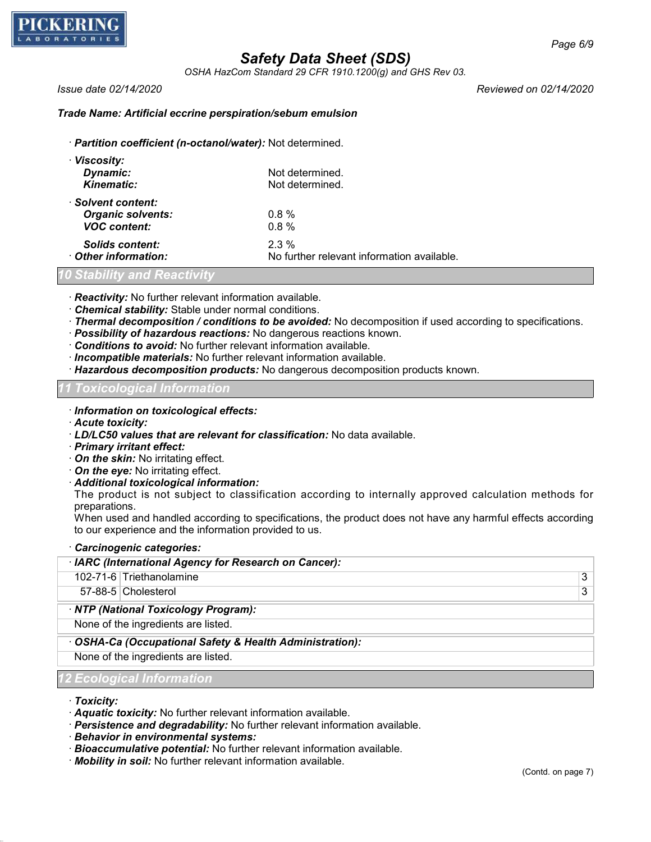

*OSHA HazCom Standard 29 CFR 1910.1200(g) and GHS Rev 03.*

*Issue date 02/14/2020 Reviewed on 02/14/2020*

## *Trade Name: Artificial eccrine perspiration/sebum emulsion*

· *Partition coefficient (n-octanol/water):* Not determined.

| · Viscosity:             |                                            |
|--------------------------|--------------------------------------------|
| Dynamic:                 | Not determined.                            |
| <b>Kinematic:</b>        | Not determined.                            |
| · Solvent content:       |                                            |
| <b>Organic solvents:</b> | $0.8 \%$                                   |
| <b>VOC content:</b>      | 0.8%                                       |
| Solids content:          | $2.3\%$                                    |
| Other information:       | No further relevant information available. |

*10 Stability and Reactivity*

· *Reactivity:* No further relevant information available.

- · *Chemical stability:* Stable under normal conditions.
- · *Thermal decomposition / conditions to be avoided:* No decomposition if used according to specifications.
- · *Possibility of hazardous reactions:* No dangerous reactions known.
- · *Conditions to avoid:* No further relevant information available.
- · *Incompatible materials:* No further relevant information available.
- · *Hazardous decomposition products:* No dangerous decomposition products known.

## *11 Toxicological Information*

- · *Information on toxicological effects:*
- · *Acute toxicity:*
- · *LD/LC50 values that are relevant for classification:* No data available.
- · *Primary irritant effect:*
- · *On the skin:* No irritating effect.
- · *On the eye:* No irritating effect.
- · *Additional toxicological information:*

The product is not subject to classification according to internally approved calculation methods for preparations.

When used and handled according to specifications, the product does not have any harmful effects according to our experience and the information provided to us.

### · *Carcinogenic categories:*

| · IARC (International Agency for Research on Cancer):  |
|--------------------------------------------------------|
| 102-71-6 Triethanolamine<br>3                          |
| 57-88-5 Cholesterol<br>3                               |
| · NTP (National Toxicology Program):                   |
| None of the ingredients are listed.                    |
| OSHA-Ca (Occupational Safety & Health Administration): |
| None of the ingredients are listed.                    |
| <b>12 Ecological Information</b>                       |

· *Toxicity:*

- · *Aquatic toxicity:* No further relevant information available.
- · *Persistence and degradability:* No further relevant information available.
- · *Behavior in environmental systems:*
- · *Bioaccumulative potential:* No further relevant information available.
- · *Mobility in soil:* No further relevant information available.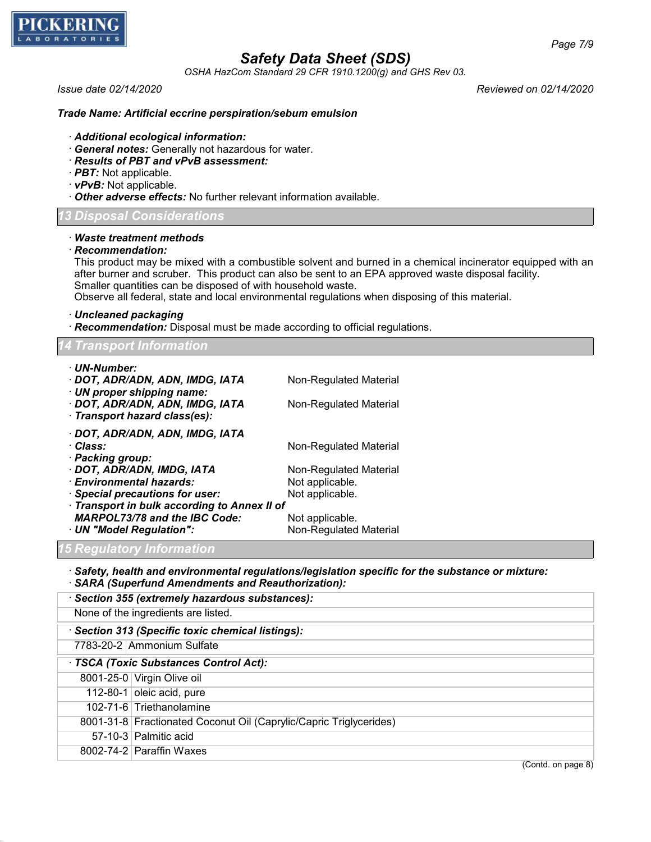

*OSHA HazCom Standard 29 CFR 1910.1200(g) and GHS Rev 03.*

*Issue date 02/14/2020 Reviewed on 02/14/2020*

### *Trade Name: Artificial eccrine perspiration/sebum emulsion*

- · *Additional ecological information:*
- · *General notes:* Generally not hazardous for water.
- · *Results of PBT and vPvB assessment:*
- · *PBT:* Not applicable.
- · *vPvB:* Not applicable.
- · *Other adverse effects:* No further relevant information available.

## *13 Disposal Considerations*

### · *Waste treatment methods*

· *Recommendation:*

This product may be mixed with a combustible solvent and burned in a chemical incinerator equipped with an after burner and scruber. This product can also be sent to an EPA approved waste disposal facility. Smaller quantities can be disposed of with household waste.

Observe all federal, state and local environmental regulations when disposing of this material.

· *Uncleaned packaging*

· *Recommendation:* Disposal must be made according to official regulations.

| <b>14 Transport Information</b>              |                        |
|----------------------------------------------|------------------------|
| · UN-Number:                                 |                        |
| · DOT, ADR/ADN, ADN, IMDG, IATA              | Non-Regulated Material |
| $\cdot$ UN proper shipping name:             |                        |
| · DOT, ADR/ADN, ADN, IMDG, IATA              | Non-Regulated Material |
| · Transport hazard class(es):                |                        |
| · DOT, ADR/ADN, ADN, IMDG, IATA              |                        |
| · Class:                                     | Non-Regulated Material |
| · Packing group:                             |                        |
| · DOT, ADR/ADN, IMDG, IATA                   | Non-Regulated Material |
| · Environmental hazards:                     | Not applicable.        |
| · Special precautions for user:              | Not applicable.        |
| · Transport in bulk according to Annex II of |                        |
| <b>MARPOL73/78 and the IBC Code:</b>         | Not applicable.        |
| · UN "Model Regulation":                     | Non-Regulated Material |

## *15 Regulatory Information*

· *Safety, health and environmental regulations/legislation specific for the substance or mixture:* · *SARA (Superfund Amendments and Reauthorization):*

|                                     | · Section 355 (extremely hazardous substances):                    |  |
|-------------------------------------|--------------------------------------------------------------------|--|
| None of the ingredients are listed. |                                                                    |  |
|                                     | Section 313 (Specific toxic chemical listings):                    |  |
|                                     | 7783-20-2 Ammonium Sulfate                                         |  |
|                                     | · TSCA (Toxic Substances Control Act):                             |  |
|                                     | 8001-25-0 Virgin Olive oil                                         |  |
|                                     | 112-80-1 oleic acid, pure                                          |  |
|                                     | 102-71-6 Triethanolamine                                           |  |
|                                     | 8001-31-8 Fractionated Coconut Oil (Caprylic/Capric Triglycerides) |  |
|                                     | 57-10-3 Palmitic acid                                              |  |
|                                     | 8002-74-2 Paraffin Waxes                                           |  |
|                                     |                                                                    |  |

(Contd. on page 8)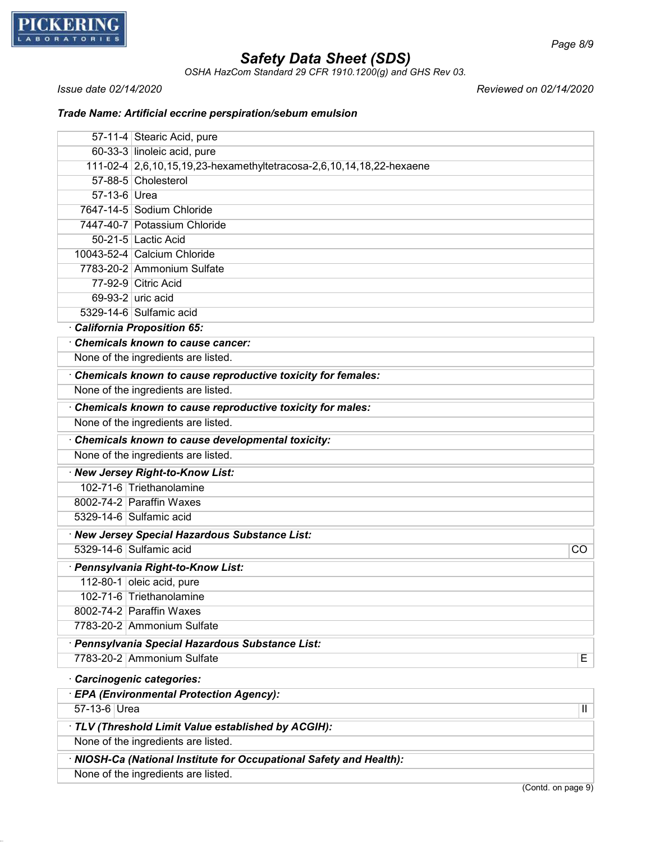

*OSHA HazCom Standard 29 CFR 1910.1200(g) and GHS Rev 03.*

*Issue date 02/14/2020 Reviewed on 02/14/2020*

## *Trade Name: Artificial eccrine perspiration/sebum emulsion*

|              | 57-11-4 Stearic Acid, pure                                           |
|--------------|----------------------------------------------------------------------|
|              | 60-33-3 linoleic acid, pure                                          |
|              | 111-02-4 2,6,10,15,19,23-hexamethyltetracosa-2,6,10,14,18,22-hexaene |
|              | 57-88-5 Cholesterol                                                  |
| 57-13-6 Urea |                                                                      |
|              | 7647-14-5 Sodium Chloride                                            |
|              | 7447-40-7 Potassium Chloride                                         |
|              | 50-21-5 Lactic Acid                                                  |
|              | 10043-52-4 Calcium Chloride                                          |
|              | 7783-20-2 Ammonium Sulfate                                           |
|              | 77-92-9 Citric Acid                                                  |
|              | 69-93-2 uric acid                                                    |
|              | 5329-14-6 Sulfamic acid                                              |
|              | California Proposition 65:                                           |
|              | Chemicals known to cause cancer:                                     |
|              | None of the ingredients are listed.                                  |
|              | Chemicals known to cause reproductive toxicity for females:          |
|              | None of the ingredients are listed.                                  |
|              | Chemicals known to cause reproductive toxicity for males:            |
|              | None of the ingredients are listed.                                  |
|              | Chemicals known to cause developmental toxicity:                     |
|              | None of the ingredients are listed.                                  |
|              | · New Jersey Right-to-Know List:                                     |
|              | 102-71-6 Triethanolamine                                             |
|              | 8002-74-2 Paraffin Waxes                                             |
|              | 5329-14-6 Sulfamic acid                                              |
|              | · New Jersey Special Hazardous Substance List:                       |
|              | 5329-14-6 Sulfamic acid<br>$\overline{CO}$                           |
|              | · Pennsylvania Right-to-Know List:                                   |
|              | 112-80-1 oleic acid, pure                                            |
|              | 102-71-6 Triethanolamine                                             |
|              | 8002-74-2 Paraffin Waxes                                             |
|              | 7783-20-2 Ammonium Sulfate                                           |
|              | · Pennsylvania Special Hazardous Substance List:                     |
|              | 7783-20-2 Ammonium Sulfate<br>E                                      |
|              | Carcinogenic categories:                                             |
|              | · EPA (Environmental Protection Agency):                             |
| 57-13-6 Urea | $\overline{\mathsf{I}}$                                              |
|              | · TLV (Threshold Limit Value established by ACGIH):                  |
|              | None of the ingredients are listed.                                  |
|              | · NIOSH-Ca (National Institute for Occupational Safety and Health):  |
|              | None of the ingredients are listed.                                  |

(Contd. on page 9)